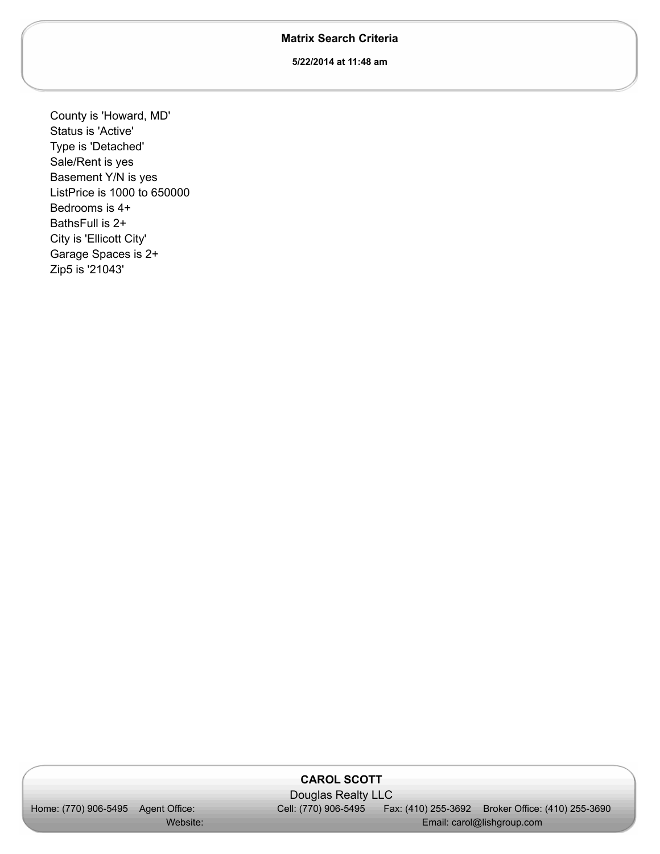## **Matrix Search Criteria**

**5/22/2014 at 11:48 am**

County is 'Howard, MD' Status is 'Active' Type is 'Detached' Sale/Rent is yes Basement Y/N is yes ListPrice is 1000 to 650000 Bedrooms is 4+ BathsFull is 2+ City is 'Ellicott City' Garage Spaces is 2+ Zip5 is '21043'

## **CAROL SCOTT**

Home: (770) 906-5495 Agent Office: Website:

 Douglas Realty LLC Cell: (770) 906-5495

Fax: (410) 255-3692 Broker Office: (410) 255-3690 Email: carol@lishgroup.com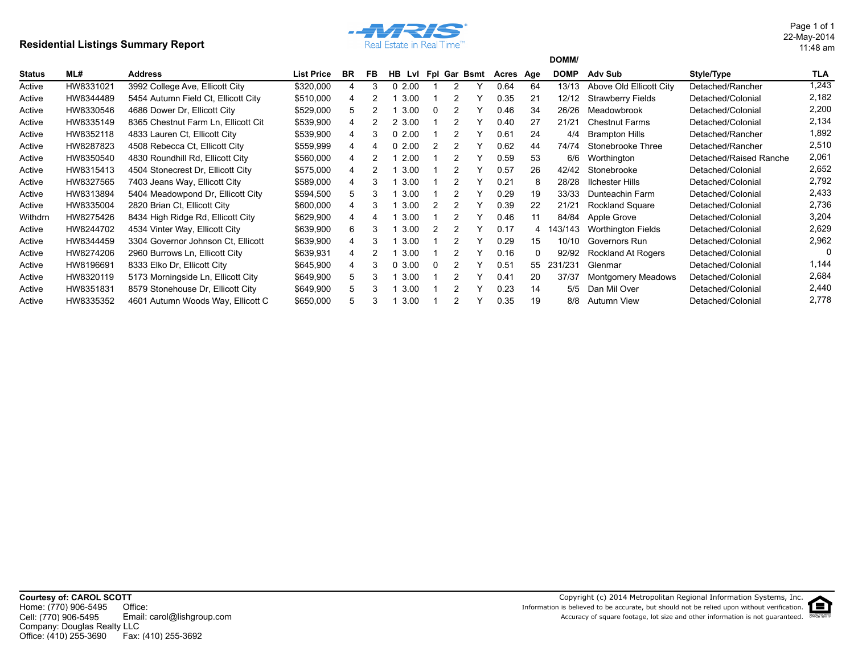## **Residential Listings Summary Report**



11:48 am 22-May-2014 Page 1 of 1

|         |           |                                     |                   |           |    |               |          |   |              |           |    | DOMM/       |                           |                        |       |
|---------|-----------|-------------------------------------|-------------------|-----------|----|---------------|----------|---|--------------|-----------|----|-------------|---------------------------|------------------------|-------|
| Status  | ML#       | <b>Address</b>                      | <b>List Price</b> | <b>BR</b> | FB | <b>HB</b> LvI |          |   | Fpl Gar Bsmt | Acres Age |    | <b>DOMP</b> | Adv Sub                   | Style/Type             | TLA   |
| Active  | HW8331021 | 3992 College Ave, Ellicott City     | \$320,000         |           | 3  | 02.00         |          | 2 |              | 0.64      | 64 | 13/13       | Above Old Ellicott City   | Detached/Rancher       | 1,243 |
| Active  | HW8344489 | 5454 Autumn Field Ct, Ellicott City | \$510,000         | 4         |    | 3.00          |          |   |              | 0.35      | 21 | 12/12       | <b>Strawberry Fields</b>  | Detached/Colonial      | 2,182 |
| Active  | HW8330546 | 4686 Dower Dr, Ellicott City        | \$529,000         | 5         |    | 3.00          | $\Omega$ |   |              | 0.46      | 34 | 26/26       | Meadowbrook               | Detached/Colonial      | 2,200 |
| Active  | HW8335149 | 8365 Chestnut Farm Ln. Ellicott Cit | \$539,900         | 4         |    | 2 3.00        |          |   |              | 0.40      | 27 | 21/21       | <b>Chestnut Farms</b>     | Detached/Colonial      | 2,134 |
| Active  | HW8352118 | 4833 Lauren Ct. Ellicott City       | \$539,900         |           | 3  | 02.00         |          |   |              | 0.61      | 24 | 4/4         | <b>Brampton Hills</b>     | Detached/Rancher       | 1,892 |
| Active  | HW8287823 | 4508 Rebecca Ct, Ellicott City      | \$559,999         | 4         |    | 02.00         |          |   |              | 0.62      | 44 | 74/74       | Stonebrooke Three         | Detached/Rancher       | 2,510 |
| Active  | HW8350540 | 4830 Roundhill Rd, Ellicott City    | \$560,000         | 4         |    | 2.00          |          |   |              | 0.59      | 53 | 6/6         | Worthington               | Detached/Raised Ranche | 2,061 |
| Active  | HW8315413 | 4504 Stonecrest Dr. Ellicott City   | \$575,000         |           |    | 3.00          |          |   |              | 0.57      | 26 | 42/42       | Stonebrooke               | Detached/Colonial      | 2,652 |
| Active  | HW8327565 | 7403 Jeans Way, Ellicott City       | \$589,000         | 4         | 3  | 3.00          |          |   |              | 0.21      | 8  | 28/28       | <b>Ilchester Hills</b>    | Detached/Colonial      | 2,792 |
| Active  | HW8313894 | 5404 Meadowpond Dr, Ellicott City   | \$594,500         | 5         | 3  | 3.00          |          |   |              | 0.29      | 19 | 33/33       | Dunteachin Farm           | Detached/Colonial      | 2,433 |
| Active  | HW8335004 | 2820 Brian Ct, Ellicott City        | \$600,000         |           | 3  | 3.00          |          |   |              | 0.39      | 22 | 21/21       | Rockland Square           | Detached/Colonial      | 2,736 |
| Withdrn | HW8275426 | 8434 High Ridge Rd, Ellicott City   | \$629,900         |           |    | 3.00          |          |   |              | 0.46      | 11 | 84/84       | Apple Grove               | Detached/Colonial      | 3,204 |
| Active  | HW8244702 | 4534 Vinter Way, Ellicott City      | \$639,900         | 6         | 3  | 3.00          |          |   |              | 0.17      | 4  | 143/143     | Worthington Fields        | Detached/Colonial      | 2,629 |
| Active  | HW8344459 | 3304 Governor Johnson Ct. Ellicott  | \$639,900         | 4         | 3  | 3.00          |          |   |              | 0.29      | 15 | 10/10       | Governors Run             | Detached/Colonial      | 2,962 |
| Active  | HW8274206 | 2960 Burrows Ln, Ellicott City      | \$639,931         | 4         |    | 3.00          |          |   |              | 0.16      | 0  | 92/92       | Rockland At Rogers        | Detached/Colonial      |       |
| Active  | HW8196691 | 8333 Elko Dr, Ellicott City         | \$645,900         | 4         | 3  | 03.00         |          |   |              | 0.51      | 55 | 231/231     | Glenmar                   | Detached/Colonial      | 1,144 |
| Active  | HW8320119 | 5173 Morningside Ln, Ellicott City  | \$649,900         | 5         | 3  | 3.00          |          |   |              | 0.41      | 20 | 37/37       | <b>Montgomery Meadows</b> | Detached/Colonial      | 2,684 |
| Active  | HW8351831 | 8579 Stonehouse Dr. Ellicott City   | \$649,900         | 5         | 3  | 3.00          |          |   |              | 0.23      | 14 | 5/5         | Dan Mil Over              | Detached/Colonial      | 2,440 |
| Active  | HW8335352 | 4601 Autumn Woods Way, Ellicott C   | \$650,000         | 5         | 3  | 3.00          |          |   |              | 0.35      | 19 | 8/8         | Autumn View               | Detached/Colonial      | 2,778 |

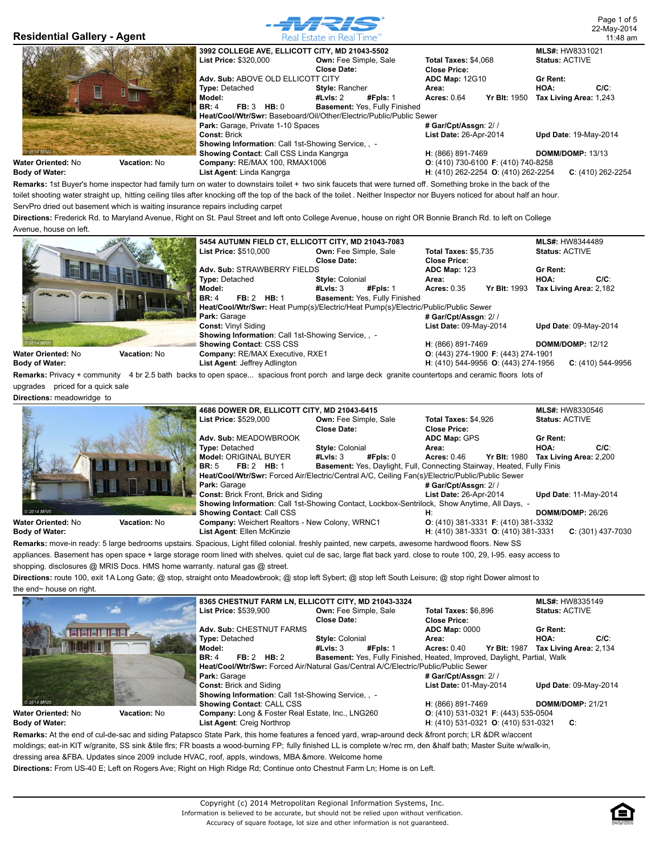

**H**: (410) 262-2254 **O**: (410) 262-2254 **C**: (410) 262-2254

**Body of Water:**

**Remarks:** 1st Buyer's home inspector had family turn on water to downstairs toilet + two sink faucets that were turned off. Something broke in the back of the toilet shooting water straight up, hitting ceiling tiles after knocking off the top of the back of the toilet . Neither Inspector nor Buyers noticed for about half an hour. ServPro dried out basement which is waiting insurance repairs including carpet

**Directions:** Frederick Rd. to Maryland Avenue, Right on St. Paul Street and left onto College Avenue, house on right OR Bonnie Branch Rd. to left on College Avenue, house on left.

**List Agent**: Linda Kangrga

|                           |              | 5454 AUTUMN FIELD CT, ELLICOTT CITY, MD 21043-7083                                 |                              |                               |                             |                                                     | <b>MLS#: HW8344489</b>  |                       |
|---------------------------|--------------|------------------------------------------------------------------------------------|------------------------------|-------------------------------|-----------------------------|-----------------------------------------------------|-------------------------|-----------------------|
|                           |              | <b>List Price: \$510,000</b>                                                       | <b>Own: Fee Simple, Sale</b> |                               | <b>Total Taxes: \$5,735</b> |                                                     | <b>Status: ACTIVE</b>   |                       |
|                           |              |                                                                                    | Close Date:                  |                               |                             |                                                     |                         |                       |
|                           |              | Adv. Sub: STRAWBERRY FIELDS                                                        |                              |                               |                             | <b>ADC Map: 123</b>                                 |                         |                       |
|                           |              | <b>Type: Detached</b>                                                              | <b>Style: Colonial</b>       |                               | Area:                       |                                                     | HOA:                    | $C/C$ :               |
|                           |              | Model:                                                                             | #LvIs: $3$                   | #Fpls: 1                      | <b>Acres: 0.35</b>          | <b>Yr Blt: 1993</b>                                 | Tax Living Area: 2,182  |                       |
| <b>APA APA</b>            |              | FB: 2 HB: 1<br><b>BR: 4</b>                                                        |                              | Basement: Yes, Fully Finished |                             |                                                     |                         |                       |
|                           | Ш            | Heat/Cool/Wtr/Swr: Heat Pump(s)/Electric/Heat Pump(s)/Electric/Public/Public Sewer |                              |                               |                             |                                                     |                         |                       |
|                           |              | Park: Garage                                                                       |                              |                               | # Gar/Cpt/Assgn: 2//        |                                                     |                         |                       |
|                           |              | <b>Const: Vinyl Siding</b>                                                         |                              |                               | List Date: 09-May-2014      |                                                     |                         | Upd Date: 09-May-2014 |
|                           |              | <b>Showing Information: Call 1st-Showing Service, , -</b>                          |                              |                               |                             |                                                     |                         |                       |
| 2014 MRIS                 |              | <b>Showing Contact: CSS CSS</b>                                                    |                              |                               | H: (866) 891-7469           |                                                     | <b>DOMM/DOMP: 12/12</b> |                       |
| <b>Water Oriented: No</b> | Vacation: No | Company: RE/MAX Executive, RXE1                                                    |                              |                               |                             | $O: (443)$ 274-1900 <b>F</b> : (443) 274-1901       |                         |                       |
| <b>Body of Water:</b>     |              | List Agent: Jeffrey Adlington                                                      |                              |                               |                             | <b>H</b> : (410) 544-9956 <b>O</b> : (443) 274-1956 |                         | $C: (410)$ 544-9956   |

**Remarks:** Privacy + community 4 br 2.5 bath backs to open space... spacious front porch and large deck granite countertops and ceramic floors lots of

upgrades priced for a quick sale **Directions:** meadowridge to

|                                           | 4686 DOWER DR, ELLICOTT CITY, MD 21043-6415                                                     |                              |                                                                         | <b>MLS#: HW8330546</b>                     |
|-------------------------------------------|-------------------------------------------------------------------------------------------------|------------------------------|-------------------------------------------------------------------------|--------------------------------------------|
|                                           | List Price: \$529,000                                                                           | <b>Own: Fee Simple, Sale</b> | Total Taxes: \$4.926                                                    | <b>Status: ACTIVE</b>                      |
|                                           |                                                                                                 | Close Date:                  | <b>Close Price:</b>                                                     |                                            |
|                                           | Adv. Sub: MEADOWBROOK                                                                           |                              | <b>ADC Map: GPS</b>                                                     | Gr Rent:                                   |
|                                           | <b>Type: Detached</b>                                                                           | <b>Style: Colonial</b>       | Area:                                                                   | $C/C$ :<br>HOA:                            |
|                                           | Model: ORIGINAL BUYER                                                                           | #LvIs: 3<br>#Fpls: 0         | <b>Acres: 0.46</b>                                                      | <b>Yr Blt: 1980 Tax Living Area: 2,200</b> |
|                                           | <b>FB: 2 HB: 1</b><br><b>BR: 5</b>                                                              |                              | Basement: Yes, Daylight, Full, Connecting Stairway, Heated, Fully Finis |                                            |
|                                           | Heat/Cool/Wtr/Swr: Forced Air/Electric/Central A/C, Ceiling Fan(s)/Electric/Public/Public Sewer |                              |                                                                         |                                            |
|                                           | Park: Garage                                                                                    |                              | # Gar/Cpt/Assgn: 2//                                                    |                                            |
|                                           | <b>Const: Brick Front, Brick and Siding</b>                                                     |                              | <b>List Date: 26-Apr-2014</b>                                           | <b>Upd Date: 11-May-2014</b>               |
|                                           | Showing Information: Call 1st-Showing Contact, Lockbox-Sentrilock, Show Anytime, All Days, -    |                              |                                                                         |                                            |
| © 2014 MRIS                               | <b>Showing Contact: Call CSS</b>                                                                |                              | н:                                                                      | DOMM/DOMP: 26/26                           |
| Water Oriented: No<br><b>Vacation: No</b> | Company: Weichert Realtors - New Colony, WRNC1                                                  |                              | $O: (410)$ 381-3331 <b>F</b> : (410) 381-3332                           |                                            |
| <b>Body of Water:</b>                     | List Agent: Ellen McKinzie                                                                      |                              | H: (410) 381-3331 O: (410) 381-3331                                     | $C: (301)$ 437-7030                        |

**Remarks:** move-in ready: 5 large bedrooms upstairs. Spacious, Light filled colonial. freshly painted, new carpets, awesome hardwood floors. New SS appliances. Basement has open space + large storage room lined with shelves. quiet cul de sac, large flat back yard. close to route 100, 29, I-95. easy access to

shopping. disclosures @ MRIS Docs. HMS home warranty. natural gas @ street.

**Directions:** route 100, exit 1A Long Gate; @ stop, straight onto Meadowbrook; @ stop left Sybert; @ stop left South Leisure; @ stop right Dower almost to the end~ house on right.

|                       |                     |                                                           | 8365 CHESTNUT FARM LN. ELLICOTT CITY. MD 21043-3324                                |                                                                                                                                                    | <b>MLS#: HW8335149</b>       |
|-----------------------|---------------------|-----------------------------------------------------------|------------------------------------------------------------------------------------|----------------------------------------------------------------------------------------------------------------------------------------------------|------------------------------|
|                       |                     | <b>List Price: \$539.900</b>                              | <b>Own: Fee Simple, Sale</b>                                                       | Total Taxes: \$6.896                                                                                                                               | <b>Status: ACTIVE</b>        |
|                       |                     |                                                           | Close Date:                                                                        | <b>Close Price:</b>                                                                                                                                |                              |
|                       |                     | Adv. Sub: CHESTNUT FARMS                                  |                                                                                    | <b>ADC Map: 0000</b>                                                                                                                               | Gr Rent:                     |
|                       |                     | <b>Type: Detached</b>                                     | <b>Style: Colonial</b>                                                             | Area:                                                                                                                                              | $C/C$ :<br>HOA:              |
|                       |                     | Model:                                                    | #LvIs: $3$<br>#Fpls: 1                                                             | <b>Yr Blt: 1987</b><br><b>Acres: 0.40</b>                                                                                                          | Tax Living Area: 2,134       |
|                       |                     | FB: 2 HB: 2<br><b>BR: 4</b>                               |                                                                                    | Basement: Yes, Fully Finished, Heated, Improved, Daylight, Partial, Walk                                                                           |                              |
|                       |                     |                                                           | Heat/Cool/Wtr/Swr: Forced Air/Natural Gas/Central A/C/Electric/Public/Public Sewer |                                                                                                                                                    |                              |
|                       |                     | Park: Garage                                              |                                                                                    | # Gar/Cpt/Assgn: 2//                                                                                                                               |                              |
|                       |                     | <b>Const: Brick and Siding</b>                            |                                                                                    | List Date: 01-May-2014                                                                                                                             | <b>Upd Date: 09-May-2014</b> |
|                       |                     | <b>Showing Information: Call 1st-Showing Service, , -</b> |                                                                                    |                                                                                                                                                    |                              |
| © 2014 MRIS           |                     | <b>Showing Contact: CALL CSS</b>                          |                                                                                    | H: (866) 891-7469                                                                                                                                  | <b>DOMM/DOMP: 21/21</b>      |
| Water Oriented: No    | <b>Vacation: No</b> | Company: Long & Foster Real Estate, Inc., LNG260          |                                                                                    | $O: (410)$ 531-0321 <b>F</b> : (443) 535-0504                                                                                                      |                              |
| <b>Body of Water:</b> |                     | List Agent: Creig Northrop                                |                                                                                    | H: (410) 531-0321 O: (410) 531-0321                                                                                                                | C:                           |
|                       |                     |                                                           |                                                                                    | Remarks: At the end of cul-de-sac and siding Patapsco State Park, this home features a fenced yard, wrap-around deck &front porch; LR &DR w/accent |                              |

moldings; eat-in KIT w/granite, SS sink &tile flrs; FR boasts a wood-burning FP; fully finished LL is complete w/rec rm, den &half bath; Master Suite w/walk-in,

dressing area &FBA. Updates since 2009 include HVAC, roof, appls, windows, MBA &more. Welcome home

**Directions:** From US-40 E; Left on Rogers Ave; Right on High Ridge Rd; Continue onto Chestnut Farm Ln; Home is on Left.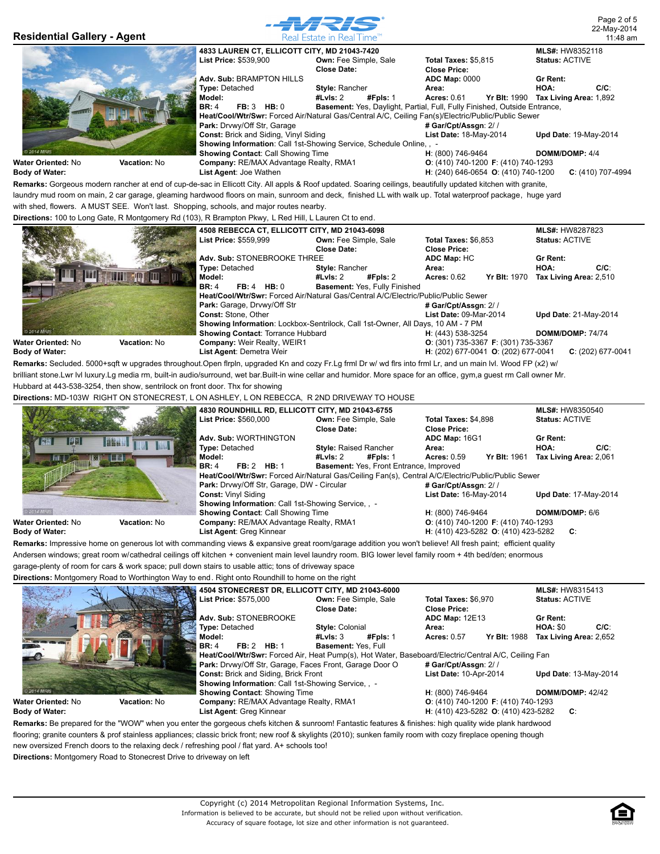

**Body of Water:**

**List Agent**: Joe Wathen

**Remarks:** Gorgeous modern rancher at end of cup-de-sac in Ellicott City. All appls & Roof updated. Soaring ceilings, beautifully updated kitchen with granite, laundry mud room on main, 2 car garage, gleaming hardwood floors on main, sunroom and deck, finished LL with walk up. Total waterproof package, huge yard with shed, flowers. A MUST SEE. Won't last. Shopping, schools, and major routes nearby.

**Directions:** 100 to Long Gate, R Montgomery Rd (103), R Brampton Pkwy, L Red Hill, L Lauren Ct to end.

|                       |              | 4508 REBECCA CT, ELLICOTT CITY, MD 21043-6098 |                                                                                    |                                               | <b>MLS#: HW8287823</b>                     |
|-----------------------|--------------|-----------------------------------------------|------------------------------------------------------------------------------------|-----------------------------------------------|--------------------------------------------|
|                       |              | List Price: \$559,999                         | <b>Own: Fee Simple, Sale</b>                                                       | <b>Total Taxes: \$6,853</b>                   | <b>Status: ACTIVE</b>                      |
|                       |              |                                               | Close Date:                                                                        | <b>Close Price:</b>                           |                                            |
|                       |              | Adv. Sub: STONEBROOKE THREE                   |                                                                                    | ADC Map: HC                                   | Gr Rent:                                   |
|                       |              | <b>Type: Detached</b>                         | <b>Style: Rancher</b>                                                              | Area:                                         | $C/C$ :<br>HOA:                            |
|                       |              | Model:                                        | #Fpls: 2<br>#LvIs: 2                                                               | <b>Acres: 0.62</b>                            | <b>Yr Blt: 1970 Tax Living Area: 2,510</b> |
|                       |              | $FB: 4$ HB: 0<br><b>BR: 4</b>                 | Basement: Yes, Fully Finished                                                      |                                               |                                            |
|                       |              |                                               | Heat/Cool/Wtr/Swr: Forced Air/Natural Gas/Central A/C/Electric/Public/Public Sewer |                                               |                                            |
|                       |              | Park: Garage, Drvwy/Off Str                   |                                                                                    | # Gar/Cpt/Assgn: 2//                          |                                            |
|                       |              | <b>Const: Stone, Other</b>                    |                                                                                    | List Date: 09-Mar-2014                        | <b>Upd Date: 21-May-2014</b>               |
|                       |              |                                               | Showing Information: Lockbox-Sentrilock, Call 1st-Owner, All Days, 10 AM - 7 PM    |                                               |                                            |
| © 2014 MRIS           |              | Showing Contact: Torrance Hubbard             |                                                                                    | H: (443) 538-3254                             | DOMM/DOMP: 74/74                           |
| Water Oriented: No    | Vacation: No | <b>Company: Weir Realty, WEIR1</b>            |                                                                                    | $O: (301)$ 735-3367 <b>F</b> : (301) 735-3367 |                                            |
| <b>Body of Water:</b> |              | List Agent: Demetra Weir                      |                                                                                    | H: (202) 677-0041 O: (202) 677-0041           | $C: (202)$ 677-0041                        |

**Remarks:** Secluded. 5000+sqft w upgrades throughout.Open flrpln, upgraded Kn and cozy Fr.Lg frml Dr w/ wd flrs into frml Lr, and un main lvl. Wood FP (x2) w/ brilliant stone.Lwr lvl luxury.Lg media rm, built-in audio/surround, wet bar.Built-in wine cellar and humidor. More space for an office, gym,a guest rm Call owner Mr. Hubbard at 443-538-3254, then show, sentrilock on front door. Thx for showing

**Directions:** MD-103W RIGHT ON STONECREST, L ON ASHLEY, L ON REBECCA, R 2ND DRIVEWAY TO HOUSE

|                            |              | 4830 ROUNDHILL RD, ELLICOTT CITY, MD 21043-6755      |                                                |                                                                                                    | <b>MLS#: HW8350540</b>       |
|----------------------------|--------------|------------------------------------------------------|------------------------------------------------|----------------------------------------------------------------------------------------------------|------------------------------|
|                            |              | List Price: \$560,000                                | <b>Own: Fee Simple, Sale</b>                   | Total Taxes: \$4,898                                                                               | <b>Status: ACTIVE</b>        |
|                            |              |                                                      | Close Date:                                    | <b>Close Price:</b>                                                                                |                              |
| <b>KARE</b>                |              | Adv. Sub: WORTHINGTON                                |                                                | ADC Map: 16G1                                                                                      | Gr Rent:                     |
|                            |              | <b>Type: Detached</b>                                | <b>Style: Raised Rancher</b>                   | Area:                                                                                              | $C/C$ :<br>HOA:              |
| 開出                         | <b>ALLES</b> | Model:                                               | #Fpls: 1<br>#LvIs: 2                           | <b>Yr Blt: 1961</b><br><b>Acres: 0.59</b>                                                          | Tax Living Area: 2,061       |
|                            |              | FB: 2 HB: 1<br><b>BR: 4</b>                          | <b>Basement: Yes, Front Entrance, Improved</b> |                                                                                                    |                              |
|                            |              |                                                      |                                                | Heat/Cool/Wtr/Swr: Forced Air/Natural Gas/Ceiling Fan(s), Central A/C/Electric/Public/Public Sewer |                              |
|                            |              | <b>Park:</b> Drvwy/Off Str. Garage, DW - Circular    |                                                | # Gar/Cpt/Assgn: 2//                                                                               |                              |
|                            |              | <b>Const: Vinyl Siding</b>                           |                                                | List Date: 16-May-2014                                                                             | <b>Upd Date: 17-May-2014</b> |
|                            |              | <b>Showing Information: Call 1st-Showing Service</b> |                                                |                                                                                                    |                              |
| 2014 MRIS                  |              | <b>Showing Contact: Call Showing Time</b>            |                                                | H: (800) 746-9464                                                                                  | DOMM/DOMP: 6/6               |
| <b>Water Oriented: N</b> o | Vacation: No | Company: RE/MAX Advantage Realty, RMA1               |                                                | $O: (410)$ 740-1200 F: (410) 740-1293                                                              |                              |
| <b>Body of Water:</b>      |              | List Agent: Greg Kinnear                             |                                                | H: (410) 423-5282 O: (410) 423-5282                                                                | C:                           |

**Remarks:** Impressive home on generous lot with commanding views & expansive great room/garage addition you won't believe! All fresh paint; efficient quality Andersen windows; great room w/cathedral ceilings off kitchen + convenient main level laundry room. BIG lower level family room + 4th bed/den; enormous

garage-plenty of room for cars & work space; pull down stairs to usable attic; tons of driveway space

**Directions:** Montgomery Road to Worthington Way to end. Right onto Roundhill to home on the right

|                       |                     | 4504 STONECREST DR, ELLICOTT CITY, MD 21043-6000                                                                                                       |                                                                                                     |                                                     |                                                     | <b>MLS#: HW8315413</b> |         |
|-----------------------|---------------------|--------------------------------------------------------------------------------------------------------------------------------------------------------|-----------------------------------------------------------------------------------------------------|-----------------------------------------------------|-----------------------------------------------------|------------------------|---------|
|                       |                     | List Price: \$575,000                                                                                                                                  | <b>Own: Fee Simple, Sale</b>                                                                        | Total Taxes: \$6.970                                |                                                     | <b>Status: ACTIVE</b>  |         |
|                       |                     |                                                                                                                                                        | <b>Close Date:</b>                                                                                  | <b>Close Price:</b>                                 |                                                     |                        |         |
|                       |                     | Adv. Sub: STONEBROOKE                                                                                                                                  |                                                                                                     | <b>ADC Map: 12E13</b>                               |                                                     | <b>Gr Rent:</b>        |         |
|                       |                     | <b>Type: Detached</b>                                                                                                                                  | <b>Style: Colonial</b>                                                                              | Area:                                               |                                                     | <b>HOA: \$0</b>        | $C/C$ : |
|                       |                     | Model:                                                                                                                                                 | #Fpls: 1<br>#LvIs: $3$                                                                              | <b>Acres: 0.57</b>                                  | <b>Yr Blt: 1988</b>                                 | Tax Living Area: 2,652 |         |
|                       |                     | <b>FB: 2 HB: 1</b><br><b>BR: 4</b>                                                                                                                     | <b>Basement: Yes. Full</b>                                                                          |                                                     |                                                     |                        |         |
|                       |                     |                                                                                                                                                        | Heat/Cool/Wtr/Swr: Forced Air, Heat Pump(s), Hot Water, Baseboard/Electric/Central A/C, Ceiling Fan |                                                     |                                                     |                        |         |
|                       |                     | Park: Drvwy/Off Str, Garage, Faces Front, Garage Door O                                                                                                |                                                                                                     | # Gar/Cpt/Assgn: 2//                                |                                                     |                        |         |
|                       |                     | <b>Const: Brick and Siding, Brick Front</b>                                                                                                            |                                                                                                     | List Date: 10-Apr-2014                              |                                                     | Upd Date: 13-May-2014  |         |
|                       |                     | <b>Showing Information: Call 1st-Showing Service</b>                                                                                                   |                                                                                                     |                                                     |                                                     |                        |         |
| © 2014 MRIS           |                     | <b>Showing Contact: Showing Time</b>                                                                                                                   |                                                                                                     | H: (800) 746-9464                                   |                                                     | DOMM/DOMP: 42/42       |         |
| Water Oriented: No    | <b>Vacation: No</b> | Company: RE/MAX Advantage Realty, RMA1                                                                                                                 |                                                                                                     | <b>O</b> : (410) 740-1200 <b>F</b> : (410) 740-1293 |                                                     |                        |         |
| <b>Body of Water:</b> |                     | List Agent: Greg Kinnear                                                                                                                               |                                                                                                     |                                                     | <b>H</b> : (410) 423-5282 <b>O</b> : (410) 423-5282 | C:                     |         |
|                       |                     | Remarker Do proposed for the "MOM" when you opter the germanic obefoliteben 8 ourreord Fentantia fectures 8 finishes: bigh quality wide plank berdwaed |                                                                                                     |                                                     |                                                     |                        |         |

**Remarks:** Be prepared for the "WOW" when you enter the gorgeous chefs kitchen & sunroom! Fantastic features & finishes: high quality wide plank hardwood flooring; granite counters & prof stainless appliances; classic brick front; new roof & skylights (2010); sunken family room with cozy fireplace opening though new oversized French doors to the relaxing deck / refreshing pool / flat yard. A+ schools too! **Directions:** Montgomery Road to Stonecrest Drive to driveway on left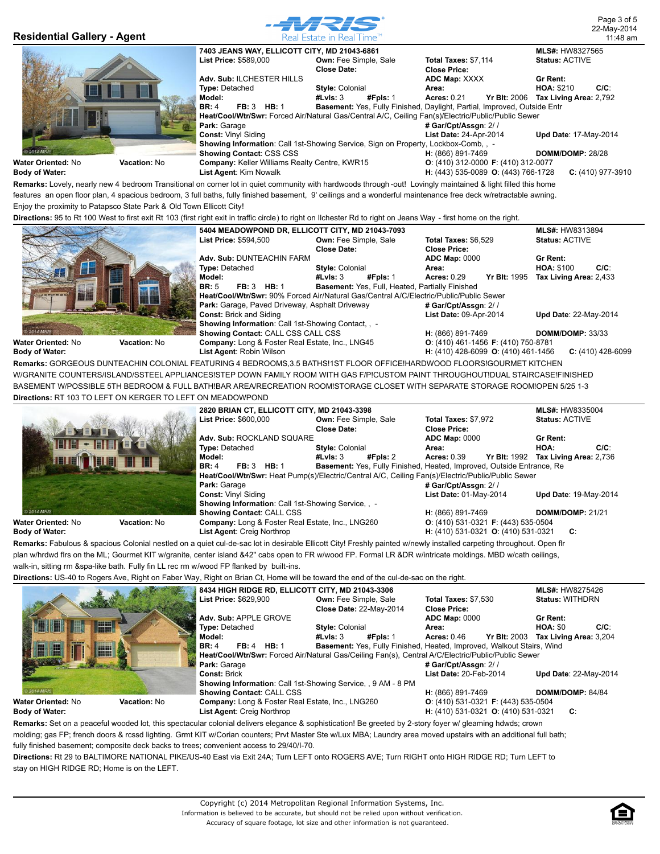

|                            |                     | <b>Directions.</b> 30 to ht 100 mest to mat exit ht 100 (mat nght exit in trainc circle ) to nght on ilonealer ha to nght on acana may - mat nome on the nght. |                                                        |          |                                     |                     |                        |         |
|----------------------------|---------------------|----------------------------------------------------------------------------------------------------------------------------------------------------------------|--------------------------------------------------------|----------|-------------------------------------|---------------------|------------------------|---------|
|                            |                     | 5404 MEADOWPOND DR. ELLICOTT CITY. MD 21043-7093                                                                                                               |                                                        |          |                                     |                     | <b>MLS#: HW8313894</b> |         |
|                            |                     | List Price: \$594,500                                                                                                                                          | <b>Own: Fee Simple, Sale</b>                           |          |                                     |                     | <b>Status: ACTIVE</b>  |         |
|                            |                     |                                                                                                                                                                | Close Date:                                            |          | <b>Close Price:</b>                 |                     |                        |         |
|                            |                     | Adv. Sub: DUNTEACHIN FARM                                                                                                                                      |                                                        |          | <b>ADC Map: 0000</b>                |                     | Gr Rent:               |         |
|                            |                     | <b>Type: Detached</b>                                                                                                                                          | <b>Style: Colonial</b>                                 |          | Area:                               |                     | <b>HOA: \$100</b>      | $C/C$ : |
|                            |                     | Model:                                                                                                                                                         | #LvIs: $3$                                             | #Fpls: 1 | Acres: $0.29$                       | <b>Yr Blt: 1995</b> | Tax Living Area: 2,433 |         |
|                            |                     | <b>FB: 3 HB: 1</b><br><b>BR: 5</b>                                                                                                                             | <b>Basement: Yes, Full, Heated, Partially Finished</b> |          |                                     |                     |                        |         |
|                            |                     | Heat/Cool/Wtr/Swr: 90% Forced Air/Natural Gas/Central A/C/Electric/Public/Public Sewer                                                                         |                                                        |          |                                     |                     |                        |         |
|                            |                     | Park: Garage, Paved Driveway, Asphalt Driveway                                                                                                                 |                                                        |          | # Gar/Cpt/Assgn: 2//                |                     |                        |         |
|                            |                     | <b>Const: Brick and Siding</b>                                                                                                                                 |                                                        |          | List Date: 09-Apr-2014              |                     | Upd Date: 22-May-2014  |         |
| $-1.5$                     |                     | <b>Showing Information: Call 1st-Showing Contact, . -</b>                                                                                                      |                                                        |          |                                     |                     |                        |         |
| 2014 MRIS                  |                     | Showing Contact: CALL CSS CALL CSS                                                                                                                             |                                                        |          | H: (866) 891-7469                   |                     | DOMM/DOMP: 33/33       |         |
| <b>Water Oriented: N</b> o | <b>Vacation: No</b> | Company: Long & Foster Real Estate, Inc., LNG45                                                                                                                |                                                        |          | O: (410) 461-1456 F: (410) 750-8781 |                     |                        |         |

**H**: (410) 428-6099 **O**: (410) 461-1456 **C**: (410) 428-6099

**Body of Water:**

**List Agent**: Robin Wilson

**Remarks:** GORGEOUS DUNTEACHIN COLONIAL FEATURING 4 BEDROOMS,3.5 BATHS!1ST FLOOR OFFICE!HARDWOOD FLOORS!GOURMET KITCHEN W/GRANITE COUNTERS/ISLAND/SSTEEL APPLIANCES!STEP DOWN FAMILY ROOM WITH GAS F/P!CUSTOM PAINT THROUGHOUT!DUAL STAIRCASE!FINISHED BASEMENT W/POSSIBLE 5TH BEDROOM & FULL BATH!BAR AREA/RECREATION ROOM!STORAGE CLOSET WITH SEPARATE STORAGE ROOM!OPEN 5/25 1-3 **Directions:** RT 103 TO LEFT ON KERGER TO LEFT ON MEADOWPOND

|                       |              | 2820 BRIAN CT. ELLICOTT CITY. MD 21043-3398               |                              |                                                                                                   | <b>MLS#: HW8335004</b>  |
|-----------------------|--------------|-----------------------------------------------------------|------------------------------|---------------------------------------------------------------------------------------------------|-------------------------|
|                       |              | List Price: \$600,000                                     | <b>Own: Fee Simple, Sale</b> | Total Taxes: \$7.972                                                                              | <b>Status: ACTIVE</b>   |
|                       |              |                                                           | Close Date:                  | <b>Close Price:</b>                                                                               |                         |
|                       |              | Adv. Sub: ROCKLAND SQUARE                                 |                              | <b>ADC Map: 0000</b>                                                                              | Gr Rent:                |
|                       |              | <b>Type: Detached</b>                                     | <b>Style: Colonial</b>       | Area:                                                                                             | $C/C$ :<br>HOA:         |
|                       |              | Model:                                                    | #Fpls: 2<br>#LvIs: $3$       | <b>Yr Blt: 1992</b><br><b>Acres: 0.39</b>                                                         | Tax Living Area: 2.736  |
|                       |              | HB:1<br><b>BR: 4</b><br><b>FB</b> : 3                     |                              | Basement: Yes, Fully Finished, Heated, Improved, Outside Entrance, Re                             |                         |
|                       |              |                                                           |                              | Heat/Cool/Wtr/Swr: Heat Pump(s)/Electric/Central A/C, Ceiling Fan(s)/Electric/Public/Public Sewer |                         |
|                       |              | Park: Garage                                              |                              | # Gar/Cpt/Assgn: 2//                                                                              |                         |
|                       |              | <b>Const: Vinyl Siding</b>                                |                              | List Date: 01-May-2014                                                                            | Upd Date: 19-May-2014   |
|                       |              | <b>Showing Information: Call 1st-Showing Service, , -</b> |                              |                                                                                                   |                         |
| © 2014 MRIS           |              | <b>Showing Contact: CALL CSS</b>                          |                              | H: (866) 891-7469                                                                                 | <b>DOMM/DOMP: 21/21</b> |
| Water Oriented: No    | Vacation: No | Company: Long & Foster Real Estate, Inc., LNG260          |                              | $O: (410) 531-0321$ F: (443) 535-0504                                                             |                         |
| <b>Body of Water:</b> |              | List Agent: Creig Northrop                                |                              | H: (410) 531-0321 O: (410) 531-0321                                                               | C:                      |

**Body of Water:**

**Remarks:** Fabulous & spacious Colonial nestled on a quiet cul-de-sac lot in desirable Ellicott City! Freshly painted w/newly installed carpeting throughout. Open flr plan w/hrdwd firs on the ML; Gourmet KIT w/granite, center island &42" cabs open to FR w/wood FP. Formal LR &DR w/intricate moldings. MBD w/cath ceilings, walk-in, sitting rm &spa-like bath. Fully fin LL rec rm w/wood FP flanked by built-ins.

**Directions:** US-40 to Rogers Ave, Right on Faber Way, Right on Brian Ct, Home will be toward the end of the cul-de-sac on the right.

|                                    | 8434 HIGH RIDGE RD, ELLICOTT CITY, MD 21043-3306                                                   |                              |                                                                       | <b>MLS#: HW8275426</b>     |
|------------------------------------|----------------------------------------------------------------------------------------------------|------------------------------|-----------------------------------------------------------------------|----------------------------|
|                                    | List Price: \$629,900                                                                              | <b>Own: Fee Simple, Sale</b> | Total Taxes: \$7.530                                                  | <b>Status: WITHDRN</b>     |
|                                    |                                                                                                    | Close Date: 22-May-2014      | <b>Close Price:</b>                                                   |                            |
|                                    | Adv. Sub: APPLE GROVE                                                                              |                              | <b>ADC Map: 0000</b>                                                  | <b>Gr Rent:</b>            |
| H                                  | <b>Type: Detached</b>                                                                              | <b>Style: Colonial</b>       | Area:                                                                 | <b>HOA: \$0</b><br>$C/C$ : |
|                                    | Model:                                                                                             | #Fpls: 1<br>#LvIs: 3         | <b>Yr Blt: 2003</b><br><b>Acres: 0.46</b>                             | Tax Living Area: 3.204     |
| -<br>H<br><b>Talent</b><br>盟       | FB: 4 HB: 1<br><b>BR: 4</b>                                                                        |                              | Basement: Yes, Fully Finished, Heated, Improved, Walkout Stairs, Wind |                            |
|                                    | Heat/Cool/Wtr/Swr: Forced Air/Natural Gas/Ceiling Fan(s), Central A/C/Electric/Public/Public Sewer |                              |                                                                       |                            |
|                                    | Park: Garage                                                                                       |                              | # Gar/Cpt/Assgn: 2//                                                  |                            |
|                                    | <b>Const: Brick</b>                                                                                |                              | List Date: 20-Feb-2014                                                | Upd Date: 22-May-2014      |
|                                    | <b>Showing Information: Call 1st-Showing Service, , 9 AM - 8 PM</b>                                |                              |                                                                       |                            |
| © 2014 MRIS                        | <b>Showing Contact: CALL CSS</b>                                                                   |                              | H: (866) 891-7469                                                     | DOMM/DOMP: 84/84           |
| Water Oriented: No<br>Vacation: No | Company: Long & Foster Real Estate, Inc., LNG260                                                   |                              | $O: (410)$ 531-0321 <b>F</b> : (443) 535-0504                         |                            |
| <b>Body of Water:</b>              | List Agent: Creig Northrop                                                                         |                              | H: (410) 531-0321 O: (410) 531-0321                                   | C:                         |

Remarks: Set on a peaceful wooded lot, this spectacular colonial delivers elegance & sophistication! Be greeted by 2-story foyer w/ gleaming hdwds; crown molding; gas FP; french doors & rcssd lighting. Grmt KIT w/Corian counters; Prvt Master Ste w/Lux MBA; Laundry area moved upstairs with an additional full bath; fully finished basement; composite deck backs to trees; convenient access to 29/40/I-70.

**Directions:** Rt 29 to BALTIMORE NATIONAL PIKE/US-40 East via Exit 24A; Turn LEFT onto ROGERS AVE; Turn RIGHT onto HIGH RIDGE RD; Turn LEFT to stay on HIGH RIDGE RD; Home is on the LEFT.

Accuracy of square footage, lot size and other information is not guaranteed.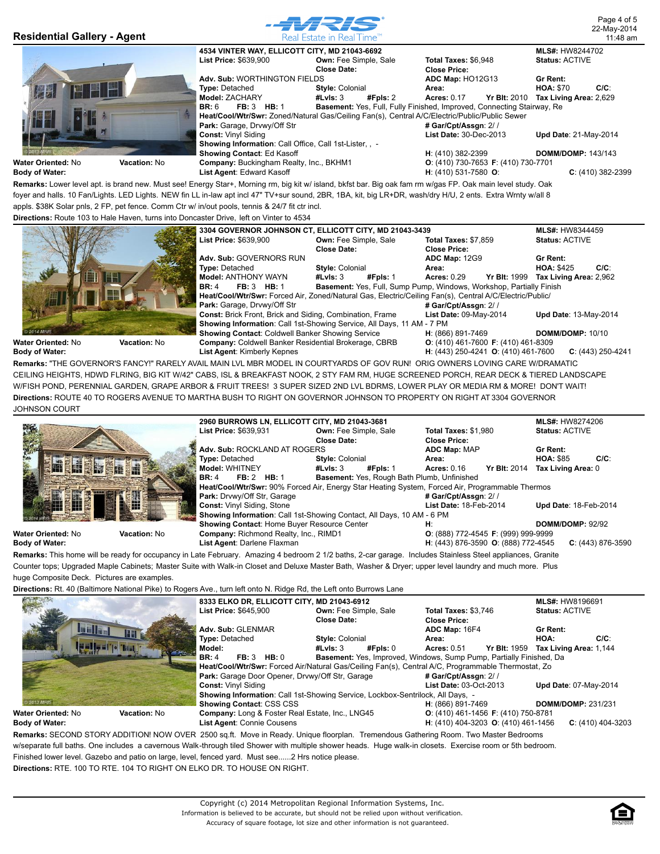

**Remarks:** Lower level apt. is brand new. Must see! Energy Star+, Morning rm, big kit w/ island, bkfst bar. Big oak fam rm w/gas FP. Oak main level study. Oak foyer and halls. 10 Fan/Lights. LED Lights. NEW fin LL in-law apt incl 47" TV+sur sound, 2BR, 1BA, kit, big LR+DR, wash/dry H/U, 2 ents. Extra Wrnty w/all 8 appls. \$38K Solar pnls, 2 FP, pet fence. Comm Ctr w/ in/out pools, tennis & 24/7 fit ctr incl.

**Directions:** Route 103 to Hale Haven, turns into Doncaster Drive, left on Vinter to 4534



**H**: (443) 250-4241 **O**: (410) 461-7600 **C**: (443) 250-4241 **Remarks:** "THE GOVERNOR'S FANCY!" RARELY AVAIL MAIN LVL MBR MODEL IN COURTYARDS OF GOV RUN! ORIG OWNERS LOVING CARE W/DRAMATIC CEILING HEIGHTS, HDWD FLRING, BIG KIT W/42" CABS, ISL & BREAKFAST NOOK, 2 STY FAM RM, HUGE SCREENED PORCH, REAR DECK & TIERED LANDSCAPE W/FISH POND, PERENNIAL GARDEN, GRAPE ARBOR & FRUIT TREES! 3 SUPER SIZED 2ND LVL BDRMS, LOWER PLAY OR MEDIA RM & MORE! DON'T WAIT! **Directions:** ROUTE 40 TO ROGERS AVENUE TO MARTHA BUSH TO RIGHT ON GOVERNOR JOHNSON TO PROPERTY ON RIGHT AT 3304 GOVERNOR JOHNSON COURT

|                            |              | 2960 BURROWS LN. ELLICOTT CITY. MD 21043-3681                                                   |                              |          |                                                    |                     | <b>MLS#: HW8274206</b> |                     |
|----------------------------|--------------|-------------------------------------------------------------------------------------------------|------------------------------|----------|----------------------------------------------------|---------------------|------------------------|---------------------|
| <b>POST</b>                |              | <b>List Price: \$639,931</b>                                                                    | <b>Own: Fee Simple, Sale</b> |          | <b>Total Taxes: \$1,980</b>                        |                     | <b>Status: ACTIVE</b>  |                     |
|                            |              |                                                                                                 | <b>Close Date:</b>           |          | <b>Close Price:</b>                                |                     |                        |                     |
|                            |              | Adv. Sub: ROCKLAND AT ROGERS                                                                    |                              |          | <b>ADC Map: MAP</b>                                |                     | Gr Rent:               |                     |
|                            |              | <b>Type: Detached</b>                                                                           | <b>Style: Colonial</b>       |          | Area:                                              |                     | <b>HOA: \$85</b>       | $C/C$ :             |
| <b>EN SMEN</b>             |              | <b>Model: WHITNEY</b>                                                                           | #LvIs: 3                     | #Fpls: 1 | <b>Acres: 0.16</b>                                 | <b>Yr Blt: 2014</b> | Tax Living Area: 0     |                     |
|                            |              | FB: 2 HB: 1<br><b>BR: 4</b>                                                                     |                              |          | <b>Basement: Yes, Rough Bath Plumb, Unfinished</b> |                     |                        |                     |
|                            |              | Heat/Cool/Wtr/Swr: 90% Forced Air, Energy Star Heating System, Forced Air, Programmable Thermos |                              |          |                                                    |                     |                        |                     |
|                            |              | <b>Park: Drvwy/Off Str. Garage</b>                                                              |                              |          | # Gar/Cpt/Assgn: 2//                               |                     |                        |                     |
| 糟                          |              | Const: Vinyl Siding, Stone                                                                      |                              |          | List Date: 18-Feb-2014                             |                     | Upd Date: 18-Feb-2014  |                     |
|                            |              | Showing Information: Call 1st-Showing Contact, All Days, 10 AM - 6 PM                           |                              |          |                                                    |                     |                        |                     |
|                            |              | Showing Contact: Home Buyer Resource Center                                                     |                              |          | H:                                                 |                     | DOMM/DOMP: 92/92       |                     |
| <b>Water Oriented: N</b> o | Vacation: No | Company: Richmond Realty, Inc., RIMD1                                                           |                              |          | $O: (888)$ 772-4545 <b>F</b> : (999) 999-9999      |                     |                        |                     |
| Body of Water:             |              | List Agent: Darlene Flaxman                                                                     |                              |          | H: (443) 876-3590 O: (888) 772-4545                |                     |                        | $C: (443) 876-3590$ |

**Remarks:** This home will be ready for occupancy in Late February. Amazing 4 bedroom 2 1/2 baths, 2-car garage. Includes Stainless Steel appliances, Granite Counter tops; Upgraded Maple Cabinets; Master Suite with Walk-in Closet and Deluxe Master Bath, Washer & Dryer; upper level laundry and much more. Plus

huge Composite Deck. Pictures are examples.

**Directions:** Rt. 40 (Baltimore National Pike) to Rogers Ave., turn left onto N. Ridge Rd, the Left onto Burrows Lane

|                                                                                                                                      |                     |                                 | 8333 ELKO DR, ELLICOTT CITY, MD 21043-6912      |                              |          |                                                                                                    |                                     |                       | <b>MLS#: HW8196691</b>       |         |
|--------------------------------------------------------------------------------------------------------------------------------------|---------------------|---------------------------------|-------------------------------------------------|------------------------------|----------|----------------------------------------------------------------------------------------------------|-------------------------------------|-----------------------|------------------------------|---------|
|                                                                                                                                      |                     | <b>List Price: \$645.900</b>    |                                                 | <b>Own: Fee Simple, Sale</b> |          | <b>Total Taxes: \$3,746</b>                                                                        |                                     | <b>Status: ACTIVE</b> |                              |         |
|                                                                                                                                      |                     |                                 |                                                 | Close Date:                  |          | <b>Close Price:</b>                                                                                |                                     |                       |                              |         |
| <b>Lui Hand</b>                                                                                                                      |                     | Adv. Sub: GLENMAR               |                                                 |                              |          | ADC Map: 16F4                                                                                      |                                     | Gr Rent:              |                              |         |
|                                                                                                                                      |                     | <b>Type: Detached</b>           |                                                 | <b>Style: Colonial</b>       |          | Area:                                                                                              |                                     | HOA:                  |                              | $C/C$ : |
|                                                                                                                                      |                     | Model:                          |                                                 | #LvIs: $3$                   | #Fpls: 0 | <b>Acres: 0.51</b>                                                                                 | Yr Blt: 1959 Tax Living Area: 1.144 |                       |                              |         |
|                                                                                                                                      |                     | <b>BR: 4</b>                    | <b>FB: 3 HB: 0</b>                              |                              |          | Basement: Yes, Improved, Windows, Sump Pump, Partially Finished, Da                                |                                     |                       |                              |         |
|                                                                                                                                      |                     |                                 |                                                 |                              |          | Heat/Cool/Wtr/Swr: Forced Air/Natural Gas/Ceiling Fan(s), Central A/C, Programmable Thermostat, Zo |                                     |                       |                              |         |
|                                                                                                                                      |                     |                                 | Park: Garage Door Opener, Drvwy/Off Str, Garage |                              |          | # Gar/Cpt/Assgn: 2//                                                                               |                                     |                       |                              |         |
|                                                                                                                                      |                     | <b>Const: Vinyl Siding</b>      |                                                 |                              |          | List Date: 03-Oct-2013                                                                             |                                     |                       | <b>Upd Date: 07-May-2014</b> |         |
|                                                                                                                                      |                     |                                 |                                                 |                              |          | Showing Information: Call 1st-Showing Service, Lockbox-Sentrilock, All Days, -                     |                                     |                       |                              |         |
| 2013 MRIS                                                                                                                            |                     | <b>Showing Contact: CSS CSS</b> |                                                 |                              |          | H: (866) 891-7469                                                                                  |                                     |                       | <b>DOMM/DOMP: 231/231</b>    |         |
| Water Oriented: No                                                                                                                   | <b>Vacation: No</b> |                                 | Company: Long & Foster Real Estate, Inc., LNG45 |                              |          | O: (410) 461-1456 F: (410) 750-8781                                                                |                                     |                       |                              |         |
| Body of Water:                                                                                                                       |                     | List Agent: Connie Cousens      |                                                 |                              |          | <b>H</b> : (410) 404-3203 <b>O</b> : (410) 461-1456                                                |                                     |                       | $C: (410)$ 404-3203          |         |
| Remarks: SECOND STORY ADDITION! NOW OVER 2500 sq.ft. Move in Ready. Unique floorplan. Tremendous Gathering Room. Two Master Bedrooms |                     |                                 |                                                 |                              |          |                                                                                                    |                                     |                       |                              |         |

w/separate full baths. One includes a cavernous Walk-through tiled Shower with multiple shower heads. Huge walk-in closets. Exercise room or 5th bedroom.

Finished lower level. Gazebo and patio on large, level, fenced yard. Must see......2 Hrs notice please.

**Directions:** RTE. 100 TO RTE. 104 TO RIGHT ON ELKO DR. TO HOUSE ON RIGHT.